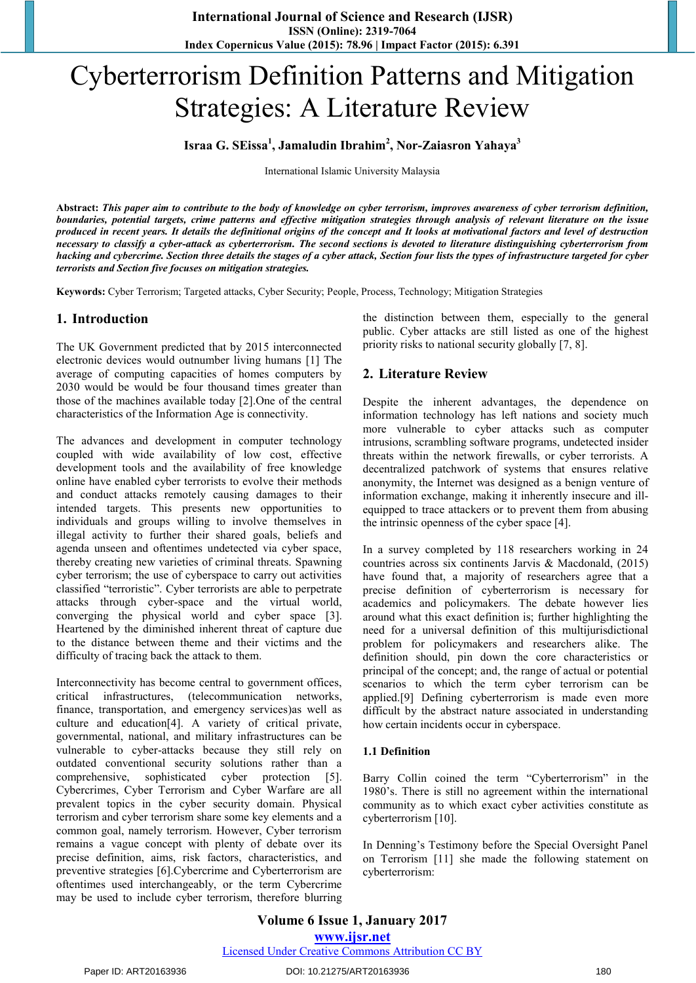# Cyberterrorism Definition Patterns and Mitigation Strategies: A Literature Review

# **Israa G. SEissa<sup>1</sup> , Jamaludin Ibrahim<sup>2</sup> , Nor-Zaiasron Yahaya<sup>3</sup>**

International Islamic University Malaysia

**Abstract:** *This paper aim to contribute to the body of knowledge on cyber terrorism, improves awareness of cyber terrorism definition, boundaries, potential targets, crime patterns and effective mitigation strategies through analysis of relevant literature on the issue produced in recent years. It details the definitional origins of the concept and It looks at motivational factors and level of destruction necessary to classify a cyber-attack as cyberterrorism. The second sections is devoted to literature distinguishing cyberterrorism from hacking and cybercrime. Section three details the stages of a cyber attack, Section four lists the types of infrastructure targeted for cyber terrorists and Section five focuses on mitigation strategies.* 

**Keywords:** Cyber Terrorism; Targeted attacks, Cyber Security; People, Process, Technology; Mitigation Strategies

## **1. Introduction**

The UK Government predicted that by 2015 interconnected electronic devices would outnumber living humans [1] The average of computing capacities of homes computers by 2030 would be would be four thousand times greater than those of the machines available today [2].One of the central characteristics of the Information Age is connectivity.

The advances and development in computer technology coupled with wide availability of low cost, effective development tools and the availability of free knowledge online have enabled cyber terrorists to evolve their methods and conduct attacks remotely causing damages to their intended targets. This presents new opportunities to individuals and groups willing to involve themselves in illegal activity to further their shared goals, beliefs and agenda unseen and oftentimes undetected via cyber space, thereby creating new varieties of criminal threats. Spawning cyber terrorism; the use of cyberspace to carry out activities classified "terroristic". Cyber terrorists are able to perpetrate attacks through cyber-space and the virtual world, converging the physical world and cyber space [3]. Heartened by the diminished inherent threat of capture due to the distance between theme and their victims and the difficulty of tracing back the attack to them.

Interconnectivity has become central to government offices, critical infrastructures, (telecommunication networks, finance, transportation, and emergency services)as well as culture and education[4]. A variety of critical private, governmental, national, and military infrastructures can be vulnerable to cyber-attacks because they still rely on outdated conventional security solutions rather than a comprehensive, sophisticated cyber protection [5]. Cybercrimes, Cyber Terrorism and Cyber Warfare are all prevalent topics in the cyber security domain. Physical terrorism and cyber terrorism share some key elements and a common goal, namely terrorism. However, Cyber terrorism remains a vague concept with plenty of debate over its precise definition, aims, risk factors, characteristics, and preventive strategies [6].Cybercrime and Cyberterrorism are oftentimes used interchangeably, or the term Cybercrime may be used to include cyber terrorism, therefore blurring the distinction between them, especially to the general public. Cyber attacks are still listed as one of the highest priority risks to national security globally [7, 8].

## **2. Literature Review**

Despite the inherent advantages, the dependence on information technology has left nations and society much more vulnerable to cyber attacks such as computer intrusions, scrambling software programs, undetected insider threats within the network firewalls, or cyber terrorists. A decentralized patchwork of systems that ensures relative anonymity, the Internet was designed as a benign venture of information exchange, making it inherently insecure and illequipped to trace attackers or to prevent them from abusing the intrinsic openness of the cyber space [4].

In a survey completed by 118 researchers working in 24 countries across six continents Jarvis & Macdonald, (2015) have found that, a majority of researchers agree that a precise definition of cyberterrorism is necessary for academics and policymakers. The debate however lies around what this exact definition is; further highlighting the need for a universal definition of this multijurisdictional problem for policymakers and researchers alike. The definition should, pin down the core characteristics or principal of the concept; and, the range of actual or potential scenarios to which the term cyber terrorism can be applied.[9] Defining cyberterrorism is made even more difficult by the abstract nature associated in understanding how certain incidents occur in cyberspace.

#### **1.1 Definition**

Barry Collin coined the term "Cyberterrorism" in the 1980's. There is still no agreement within the international community as to which exact cyber activities constitute as cyberterrorism [10].

In Denning's Testimony before the Special Oversight Panel on Terrorism [11] she made the following statement on cyberterrorism:

#### Paper ID: ART20163936 DOI: 10.21275/ART20163936 180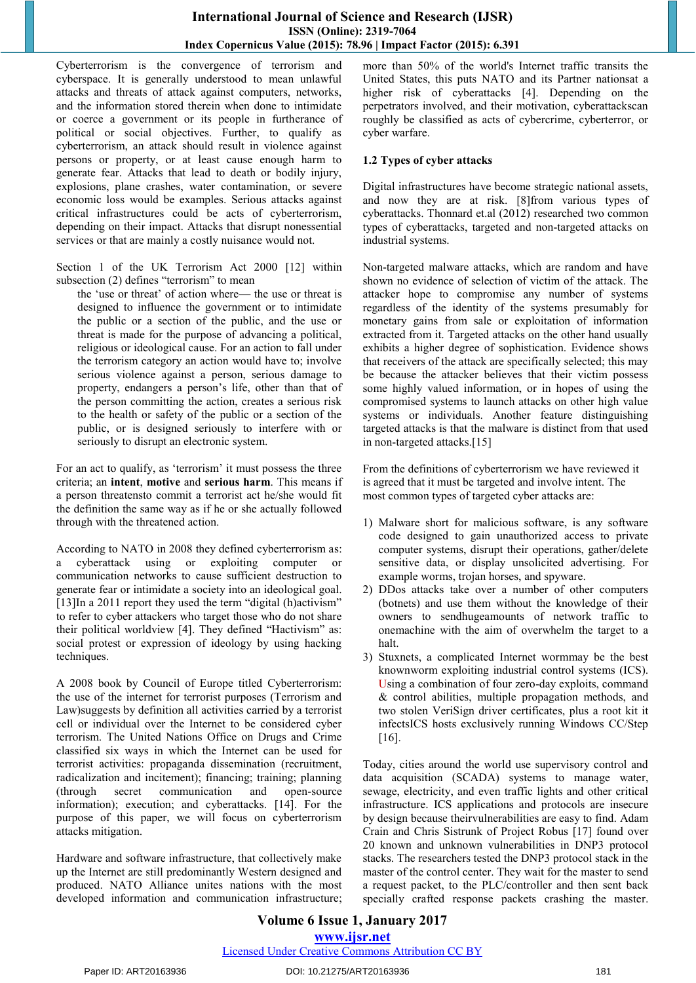Cyberterrorism is the convergence of terrorism and cyberspace. It is generally understood to mean unlawful attacks and threats of attack against computers, networks, and the information stored therein when done to intimidate or coerce a government or its people in furtherance of political or social objectives. Further, to qualify as cyberterrorism, an attack should result in violence against persons or property, or at least cause enough harm to generate fear. Attacks that lead to death or bodily injury, explosions, plane crashes, water contamination, or severe economic loss would be examples. Serious attacks against critical infrastructures could be acts of cyberterrorism, depending on their impact. Attacks that disrupt nonessential services or that are mainly a costly nuisance would not.

Section 1 of the UK Terrorism Act 2000 [12] within subsection  $(2)$  defines "terrorism" to mean

the 'use or threat' of action where— the use or threat is designed to influence the government or to intimidate the public or a section of the public, and the use or threat is made for the purpose of advancing a political, religious or ideological cause. For an action to fall under the terrorism category an action would have to; involve serious violence against a person, serious damage to property, endangers a person's life, other than that of the person committing the action, creates a serious risk to the health or safety of the public or a section of the public, or is designed seriously to interfere with or seriously to disrupt an electronic system.

For an act to qualify, as 'terrorism' it must possess the three criteria; an **intent**, **motive** and **serious harm**. This means if a person threatensto commit a terrorist act he/she would fit the definition the same way as if he or she actually followed through with the threatened action.

According to NATO in 2008 they defined cyberterrorism as: cyberattack using or exploiting computer communication networks to cause sufficient destruction to generate fear or intimidate a society into an ideological goal.  $[13]$ In a 2011 report they used the term "digital (h)activism" to refer to cyber attackers who target those who do not share their political worldview [4]. They defined "Hactivism" as: social protest or expression of ideology by using hacking techniques.

A 2008 book by Council of Europe titled Cyberterrorism: the use of the internet for terrorist purposes (Terrorism and Law)suggests by definition all activities carried by a terrorist cell or individual over the Internet to be considered cyber terrorism. The United Nations Office on Drugs and Crime classified six ways in which the Internet can be used for terrorist activities: propaganda dissemination (recruitment, radicalization and incitement); financing; training; planning (through secret communication and open-source information); execution; and cyberattacks. [14]. For the purpose of this paper, we will focus on cyberterrorism attacks mitigation.

Hardware and software infrastructure, that collectively make up the Internet are still predominantly Western designed and produced. NATO Alliance unites nations with the most developed information and communication infrastructure; more than 50% of the world's Internet traffic transits the United States, this puts NATO and its Partner nationsat a higher risk of cyberattacks [4]. Depending on the perpetrators involved, and their motivation, cyberattackscan roughly be classified as acts of cybercrime, cyberterror, or cyber warfare.

#### **1.2 Types of cyber attacks**

Digital infrastructures have become strategic national assets, and now they are at risk. [8]from various types of cyberattacks. Thonnard et.al (2012) researched two common types of cyberattacks, targeted and non-targeted attacks on industrial systems.

Non-targeted malware attacks, which are random and have shown no evidence of selection of victim of the attack. The attacker hope to compromise any number of systems regardless of the identity of the systems presumably for monetary gains from sale or exploitation of information extracted from it. Targeted attacks on the other hand usually exhibits a higher degree of sophistication. Evidence shows that receivers of the attack are specifically selected; this may be because the attacker believes that their victim possess some highly valued information, or in hopes of using the compromised systems to launch attacks on other high value systems or individuals. Another feature distinguishing targeted attacks is that the malware is distinct from that used in non-targeted attacks.[15]

From the definitions of cyberterrorism we have reviewed it is agreed that it must be targeted and involve intent. The most common types of targeted cyber attacks are:

- 1) Malware short for malicious software, is any software code designed to gain unauthorized access to private computer systems, disrupt their operations, gather/delete sensitive data, or display unsolicited advertising. For example worms, trojan horses, and spyware.
- 2) DDos attacks take over a number of other computers (botnets) and use them without the knowledge of their owners to sendhugeamounts of network traffic to onemachine with the aim of overwhelm the target to a halt.
- 3) Stuxnets, a complicated Internet wormmay be the best knownworm exploiting industrial control systems (ICS). Using a combination of four zero-day exploits, command & control abilities, multiple propagation methods, and two stolen VeriSign driver certificates, plus a root kit it infectsICS hosts exclusively running Windows CC/Step [16].

Today, cities around the world use supervisory control and data acquisition (SCADA) systems to manage water, sewage, electricity, and even traffic lights and other critical infrastructure. ICS applications and protocols are insecure by design because theirvulnerabilities are easy to find. Adam Crain and Chris Sistrunk of Project Robus [17] found over 20 known and unknown vulnerabilities in DNP3 protocol stacks. The researchers tested the DNP3 protocol stack in the master of the control center. They wait for the master to send a request packet, to the PLC/controller and then sent back specially crafted response packets crashing the master.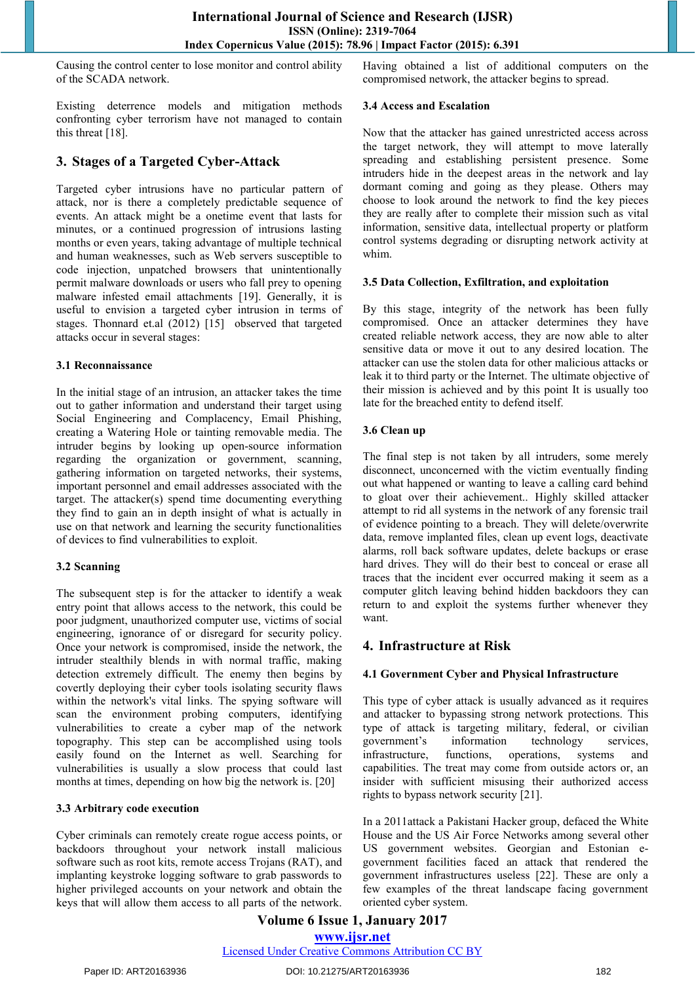Causing the control center to lose monitor and control ability of the SCADA network.

Existing deterrence models and mitigation methods confronting cyber terrorism have not managed to contain this threat [18].

# **3. Stages of a Targeted Cyber-Attack**

Targeted cyber intrusions have no particular pattern of attack, nor is there a completely predictable sequence of events. An attack might be a onetime event that lasts for minutes, or a continued progression of intrusions lasting months or even years, taking advantage of multiple technical and human weaknesses, such as Web servers susceptible to code injection, unpatched browsers that unintentionally permit malware downloads or users who fall prey to opening malware infested email attachments [19]. Generally, it is useful to envision a targeted cyber intrusion in terms of stages. Thonnard et.al (2012) [15] observed that targeted attacks occur in several stages:

#### **3.1 Reconnaissance**

In the initial stage of an intrusion, an attacker takes the time out to gather information and understand their target using Social Engineering and Complacency, Email Phishing, creating a Watering Hole or tainting removable media. The intruder begins by looking up open-source information regarding the organization or government, scanning, gathering information on targeted networks, their systems, important personnel and email addresses associated with the target. The attacker(s) spend time documenting everything they find to gain an in depth insight of what is actually in use on that network and learning the security functionalities of devices to find vulnerabilities to exploit.

## **3.2 Scanning**

The subsequent step is for the attacker to identify a weak entry point that allows access to the network, this could be poor judgment, unauthorized computer use, victims of social engineering, ignorance of or disregard for security policy. Once your network is compromised, inside the network, the intruder stealthily blends in with normal traffic, making detection extremely difficult. The enemy then begins by covertly deploying their cyber tools isolating security flaws within the network's vital links. The spying software will scan the environment probing computers, identifying vulnerabilities to create a cyber map of the network topography. This step can be accomplished using tools easily found on the Internet as well. Searching for vulnerabilities is usually a slow process that could last months at times, depending on how big the network is. [20]

#### **3.3 Arbitrary code execution**

Cyber criminals can remotely create rogue access points, or backdoors throughout your network install malicious software such as root kits, remote access Trojans (RAT), and implanting keystroke logging software to grab passwords to higher privileged accounts on your network and obtain the keys that will allow them access to all parts of the network. Having obtained a list of additional computers on the compromised network, the attacker begins to spread.

#### **3.4 Access and Escalation**

Now that the attacker has gained unrestricted access across the target network, they will attempt to move laterally spreading and establishing persistent presence. Some intruders hide in the deepest areas in the network and lay dormant coming and going as they please. Others may choose to look around the network to find the key pieces they are really after to complete their mission such as vital information, sensitive data, intellectual property or platform control systems degrading or disrupting network activity at whim.

#### **3.5 Data Collection, Exfiltration, and exploitation**

By this stage, integrity of the network has been fully compromised. Once an attacker determines they have created reliable network access, they are now able to alter sensitive data or move it out to any desired location. The attacker can use the stolen data for other malicious attacks or leak it to third party or the Internet. The ultimate objective of their mission is achieved and by this point It is usually too late for the breached entity to defend itself.

#### **3.6 Clean up**

The final step is not taken by all intruders, some merely disconnect, unconcerned with the victim eventually finding out what happened or wanting to leave a calling card behind to gloat over their achievement.. Highly skilled attacker attempt to rid all systems in the network of any forensic trail of evidence pointing to a breach. They will delete/overwrite data, remove implanted files, clean up event logs, deactivate alarms, roll back software updates, delete backups or erase hard drives. They will do their best to conceal or erase all traces that the incident ever occurred making it seem as a computer glitch leaving behind hidden backdoors they can return to and exploit the systems further whenever they want.

# **4. Infrastructure at Risk**

## **4.1 Government Cyber and Physical Infrastructure**

This type of cyber attack is usually advanced as it requires and attacker to bypassing strong network protections. This type of attack is targeting military, federal, or civilian government's information technology services, infrastructure, functions, operations, systems and capabilities. The treat may come from outside actors or, an insider with sufficient misusing their authorized access rights to bypass network security [21].

In a 2011attack a Pakistani Hacker group, defaced the White House and the US Air Force Networks among several other US government websites. Georgian and Estonian egovernment facilities faced an attack that rendered the government infrastructures useless [22]. These are only a few examples of the threat landscape facing government oriented cyber system.

#### **Volume 6 Issue 1, January 2017 www.ijsr.net** Licensed Under Creative Commons Attribution CC BY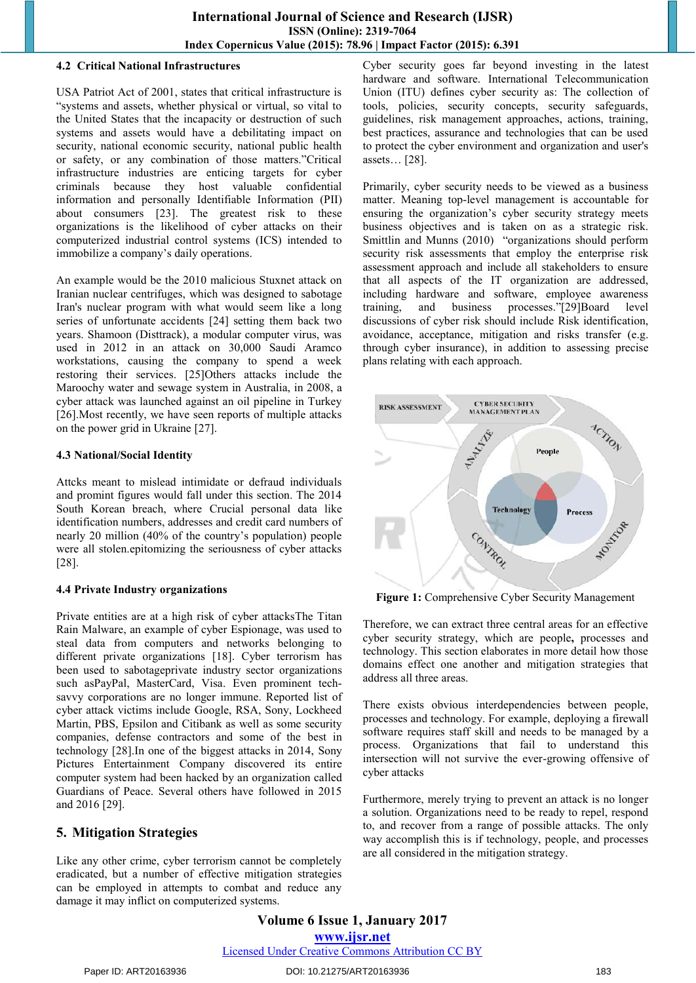#### **4.2 Critical National Infrastructures**

USA Patriot Act of 2001, states that critical infrastructure is "systems and assets, whether physical or virtual, so vital to the United States that the incapacity or destruction of such systems and assets would have a debilitating impact on security, national economic security, national public health or safety, or any combination of those matters."Critical infrastructure industries are enticing targets for cyber criminals because they host valuable confidential information and personally Identifiable Information (PII) about consumers [23]. The greatest risk to these organizations is the likelihood of cyber attacks on their computerized industrial control systems (ICS) intended to immobilize a company's daily operations.

An example would be the 2010 malicious Stuxnet attack on Iranian nuclear centrifuges, which was designed to sabotage Iran's nuclear program with what would seem like a long series of unfortunate accidents [24] setting them back two years. Shamoon (Disttrack), a modular computer virus, was used in 2012 in an attack on 30,000 Saudi Aramco workstations, causing the company to spend a week restoring their services. [25]Others attacks include the Maroochy water and sewage system in Australia, in 2008, a cyber attack was launched against an oil pipeline in Turkey [26].Most recently, we have seen reports of multiple attacks on the power grid in Ukraine [27].

#### **4.3 National/Social Identity**

Attcks meant to mislead intimidate or defraud individuals and promint figures would fall under this section. The 2014 South Korean breach, where Crucial personal data like identification numbers, addresses and credit card numbers of nearly 20 million (40% of the country's population) people were all stolen.epitomizing the seriousness of cyber attacks [28].

## **4.4 Private Industry organizations**

Private entities are at a high risk of cyber attacksThe Titan Rain Malware, an example of cyber Espionage, was used to steal data from computers and networks belonging to different private organizations [18]. Cyber terrorism has been used to sabotageprivate industry sector organizations such asPayPal, MasterCard, Visa. Even prominent techsavvy corporations are no longer immune. Reported list of cyber attack victims include Google, RSA, Sony, Lockheed Martin, PBS, Epsilon and Citibank as well as some security companies, defense contractors and some of the best in technology [28].In one of the biggest attacks in 2014, Sony Pictures Entertainment Company discovered its entire computer system had been hacked by an organization called Guardians of Peace. Several others have followed in 2015 and 2016 [29].

# **5. Mitigation Strategies**

Like any other crime, cyber terrorism cannot be completely eradicated, but a number of effective mitigation strategies can be employed in attempts to combat and reduce any damage it may inflict on computerized systems.

Cyber security goes far beyond investing in the latest hardware and software. International Telecommunication Union (ITU) defines cyber security as: The collection of tools, policies, security concepts, security safeguards, guidelines, risk management approaches, actions, training, best practices, assurance and technologies that can be used to protect the cyber environment and organization and user's assets… [28].

Primarily, cyber security needs to be viewed as a business matter. Meaning top-level management is accountable for ensuring the organization's cyber security strategy meets business objectives and is taken on as a strategic risk. Smittlin and Munns (2010) "organizations should perform security risk assessments that employ the enterprise risk assessment approach and include all stakeholders to ensure that all aspects of the IT organization are addressed, including hardware and software, employee awareness training, and business processes."[29]Board level discussions of cyber risk should include Risk identification, avoidance, acceptance, mitigation and risks transfer (e.g. through cyber insurance), in addition to assessing precise plans relating with each approach.



**Figure 1:** Comprehensive Cyber Security Management

Therefore, we can extract three central areas for an effective cyber security strategy, which are people**,** processes and technology. This section elaborates in more detail how those domains effect one another and mitigation strategies that address all three areas.

There exists obvious interdependencies between people, processes and technology. For example, deploying a firewall software requires staff skill and needs to be managed by a process. Organizations that fail to understand this intersection will not survive the ever-growing offensive of cyber attacks

Furthermore, merely trying to prevent an attack is no longer a solution. Organizations need to be ready to repel, respond to, and recover from a range of possible attacks. The only way accomplish this is if technology, people, and processes are all considered in the mitigation strategy.

**Volume 6 Issue 1, January 2017 www.ijsr.net** Licensed Under Creative Commons Attribution CC BY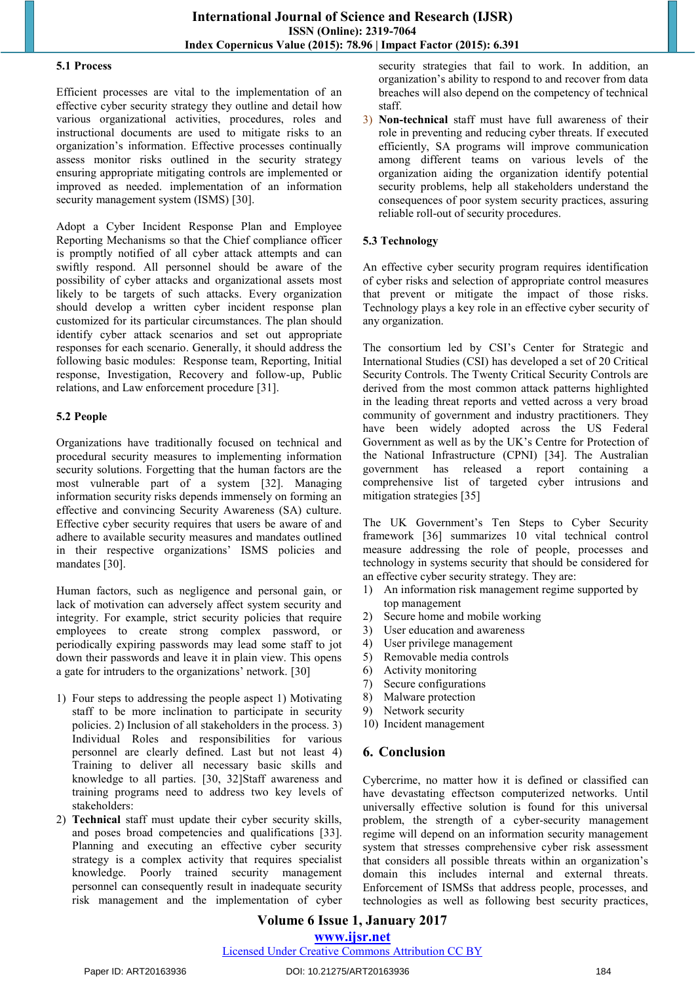#### **5.1 Process**

Efficient processes are vital to the implementation of an effective cyber security strategy they outline and detail how various organizational activities, procedures, roles and instructional documents are used to mitigate risks to an organization's information. Effective processes continually assess monitor risks outlined in the security strategy ensuring appropriate mitigating controls are implemented or improved as needed. implementation of an information security management system (ISMS) [30].

Adopt a Cyber Incident Response Plan and Employee Reporting Mechanisms so that the Chief compliance officer is promptly notified of all cyber attack attempts and can swiftly respond. All personnel should be aware of the possibility of cyber attacks and organizational assets most likely to be targets of such attacks. Every organization should develop a written cyber incident response plan customized for its particular circumstances. The plan should identify cyber attack scenarios and set out appropriate responses for each scenario. Generally, it should address the following basic modules: Response team, Reporting, Initial response, Investigation, Recovery and follow-up, Public relations, and Law enforcement procedure [31].

#### **5.2 People**

Organizations have traditionally focused on technical and procedural security measures to implementing information security solutions. Forgetting that the human factors are the most vulnerable part of a system [32]. Managing information security risks depends immensely on forming an effective and convincing Security Awareness (SA) culture. Effective cyber security requires that users be aware of and adhere to available security measures and mandates outlined in their respective organizations' ISMS policies and mandates [30].

Human factors, such as negligence and personal gain, or lack of motivation can adversely affect system security and integrity. For example, strict security policies that require employees to create strong complex password, or periodically expiring passwords may lead some staff to jot down their passwords and leave it in plain view. This opens a gate for intruders to the organizations' network. [30]

- 1) Four steps to addressing the people aspect 1) Motivating staff to be more inclination to participate in security policies. 2) Inclusion of all stakeholders in the process. 3) Individual Roles and responsibilities for various personnel are clearly defined. Last but not least 4) Training to deliver all necessary basic skills and knowledge to all parties. [30, 32]Staff awareness and training programs need to address two key levels of stakeholders:
- 2) **Technical** staff must update their cyber security skills, and poses broad competencies and qualifications [33]. Planning and executing an effective cyber security strategy is a complex activity that requires specialist knowledge. Poorly trained security management personnel can consequently result in inadequate security risk management and the implementation of cyber

security strategies that fail to work. In addition, an organization's ability to respond to and recover from data breaches will also depend on the competency of technical staff.

3) **Non-technical** staff must have full awareness of their role in preventing and reducing cyber threats. If executed efficiently, SA programs will improve communication among different teams on various levels of the organization aiding the organization identify potential security problems, help all stakeholders understand the consequences of poor system security practices, assuring reliable roll-out of security procedures.

## **5.3 Technology**

An effective cyber security program requires identification of cyber risks and selection of appropriate control measures that prevent or mitigate the impact of those risks. Technology plays a key role in an effective cyber security of any organization.

The consortium led by CSI's Center for Strategic and International Studies (CSI) has developed a set of 20 Critical Security Controls. The Twenty Critical Security Controls are derived from the most common attack patterns highlighted in the leading threat reports and vetted across a very broad community of government and industry practitioners. They have been widely adopted across the US Federal Government as well as by the UK's Centre for Protection of the National Infrastructure (CPNI) [34]. The Australian government has released a report containing a comprehensive list of targeted cyber intrusions and mitigation strategies [35]

The UK Government's Ten Steps to Cyber Security framework [36] summarizes 10 vital technical control measure addressing the role of people, processes and technology in systems security that should be considered for an effective cyber security strategy. They are:

- 1) An information risk management regime supported by top management
- 2) Secure home and mobile working
- 3) User education and awareness
- 4) User privilege management
- 5) Removable media controls
- 6) Activity monitoring
- 7) Secure configurations
- 8) Malware protection
- 9) Network security
- 10) Incident management

## **6. Conclusion**

Cybercrime, no matter how it is defined or classified can have devastating effectson computerized networks. Until universally effective solution is found for this universal problem, the strength of a cyber-security management regime will depend on an information security management system that stresses comprehensive cyber risk assessment that considers all possible threats within an organization's domain this includes internal and external threats. Enforcement of ISMSs that address people, processes, and technologies as well as following best security practices,

#### **Volume 6 Issue 1, January 2017 www.ijsr.net** Licensed Under Creative Commons Attribution CC BY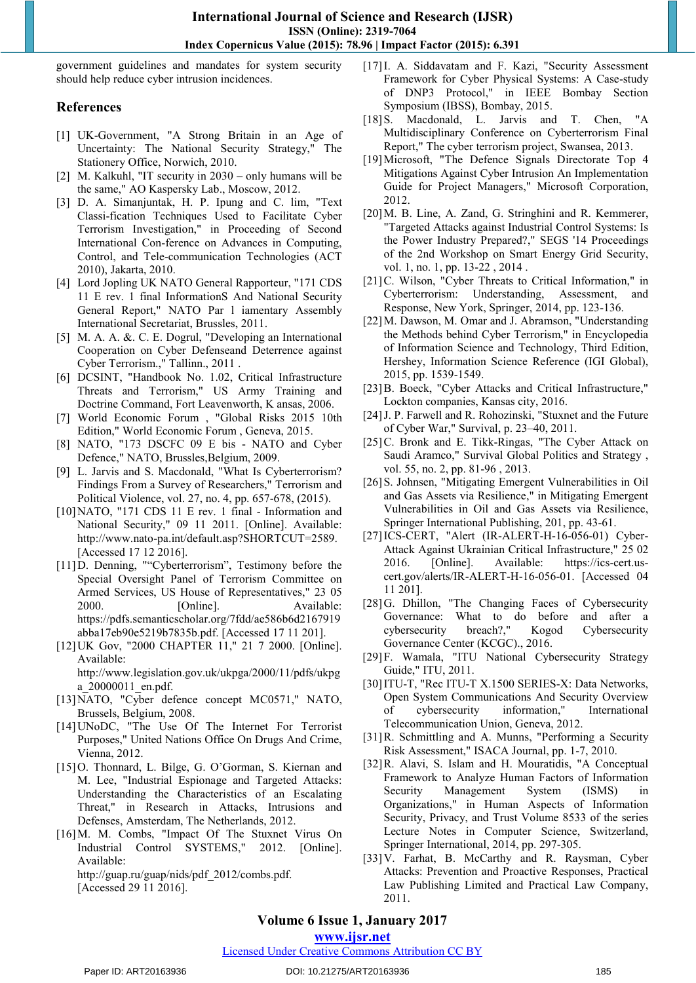government guidelines and mandates for system security should help reduce cyber intrusion incidences.

## **References**

- [1] UK-Government, "A Strong Britain in an Age of Uncertainty: The National Security Strategy," The Stationery Office, Norwich, 2010.
- [2] M. Kalkuhl, "IT security in 2030 only humans will be the same," AO Kaspersky Lab., Moscow, 2012.
- [3] D. A. Simanjuntak, H. P. Ipung and C. lim, "Text Classi-fication Techniques Used to Facilitate Cyber Terrorism Investigation," in Proceeding of Second International Con-ference on Advances in Computing, Control, and Tele-communication Technologies (ACT 2010), Jakarta, 2010.
- [4] Lord Jopling UK NATO General Rapporteur, "171 CDS 11 E rev. 1 final InformationS And National Security General Report," NATO Par l iamentary Assembly International Secretariat, Brussles, 2011.
- [5] M. A. A. &. C. E. Dogrul, "Developing an International Cooperation on Cyber Defenseand Deterrence against Cyber Terrorism.," Tallinn., 2011 .
- [6] DCSINT, "Handbook No. 1.02, Critical Infrastructure Threats and Terrorism," US Army Training and Doctrine Command, Fort Leavenworth, K ansas, 2006.
- [7] World Economic Forum , "Global Risks 2015 10th Edition," World Economic Forum , Geneva, 2015.
- [8] NATO, "173 DSCFC 09 E bis NATO and Cyber Defence," NATO, Brussles,Belgium, 2009.
- [9] L. Jarvis and S. Macdonald, "What Is Cyberterrorism? Findings From a Survey of Researchers," Terrorism and Political Violence, vol. 27, no. 4, pp. 657-678, (2015).
- [10]NATO, "171 CDS 11 E rev. 1 final Information and National Security," 09 11 2011. [Online]. Available: http://www.nato-pa.int/default.asp?SHORTCUT=2589. [Accessed 17 12 2016].
- [11]D. Denning, ""Cyberterrorism", Testimony before the Special Oversight Panel of Terrorism Committee on Armed Services, US House of Representatives," 23 05 2000. [Online]. Available: https://pdfs.semanticscholar.org/7fdd/ae586b6d2167919 abba17eb90e5219b7835b.pdf. [Accessed 17 11 201].
- [12]UK Gov, "2000 CHAPTER 11," 21 7 2000. [Online]. Available: http://www.legislation.gov.uk/ukpga/2000/11/pdfs/ukpg a\_20000011\_en.pdf.
- [13]NATO, "Cyber defence concept MC0571," NATO, Brussels, Belgium, 2008.
- [14]UNoDC, "The Use Of The Internet For Terrorist Purposes," United Nations Office On Drugs And Crime, Vienna, 2012.
- [15]O. Thonnard, L. Bilge, G. O'Gorman, S. Kiernan and M. Lee, "Industrial Espionage and Targeted Attacks: Understanding the Characteristics of an Escalating Threat," in Research in Attacks, Intrusions and Defenses, Amsterdam, The Netherlands, 2012.
- [16]M. M. Combs, "Impact Of The Stuxnet Virus On Industrial Control SYSTEMS," 2012. [Online]. Available: http://guap.ru/guap/nids/pdf\_2012/combs.pdf.

[Accessed 29 11 2016].

- [17]I. A. Siddavatam and F. Kazi, "Security Assessment Framework for Cyber Physical Systems: A Case-study of DNP3 Protocol," in IEEE Bombay Section Symposium (IBSS), Bombay, 2015.
- [18] S. Macdonald, L. Jarvis and T. Chen, "A Multidisciplinary Conference on Cyberterrorism Final Report," The cyber terrorism project, Swansea, 2013.
- [19]Microsoft, "The Defence Signals Directorate Top 4 Mitigations Against Cyber Intrusion An Implementation Guide for Project Managers," Microsoft Corporation, 2012.
- [20] M. B. Line, A. Zand, G. Stringhini and R. Kemmerer, "Targeted Attacks against Industrial Control Systems: Is the Power Industry Prepared?," SEGS '14 Proceedings of the 2nd Workshop on Smart Energy Grid Security, vol. 1, no. 1, pp. 13-22 , 2014 .
- [21] C. Wilson, "Cyber Threats to Critical Information," in Cyberterrorism: Understanding, Assessment, and Response, New York, Springer, 2014, pp. 123-136.
- [22]M. Dawson, M. Omar and J. Abramson, "Understanding the Methods behind Cyber Terrorism," in Encyclopedia of Information Science and Technology, Third Edition, Hershey, Information Science Reference (IGI Global), 2015, pp. 1539-1549.
- [23]B. Boeck, "Cyber Attacks and Critical Infrastructure," Lockton companies, Kansas city, 2016.
- [24] J. P. Farwell and R. Rohozinski, "Stuxnet and the Future of Cyber War," Survival, p. 23–40, 2011.
- [25]C. Bronk and E. Tikk-Ringas, "The Cyber Attack on Saudi Aramco," Survival Global Politics and Strategy , vol. 55, no. 2, pp. 81-96 , 2013.
- [26] S. Johnsen, "Mitigating Emergent Vulnerabilities in Oil and Gas Assets via Resilience," in Mitigating Emergent Vulnerabilities in Oil and Gas Assets via Resilience, Springer International Publishing, 201, pp. 43-61.
- [27]ICS-CERT, "Alert (IR-ALERT-H-16-056-01) Cyber-Attack Against Ukrainian Critical Infrastructure," 25 02 2016. [Online]. Available: https://ics-cert.uscert.gov/alerts/IR-ALERT-H-16-056-01. [Accessed 04 11 201].
- [28]G. Dhillon, "The Changing Faces of Cybersecurity Governance: What to do before and after a<br>cybersecurity breach?," Kogod Cybersecurity cybersecurity breach?," Kogod Cybersecurity Governance Center (KCGC)., 2016.
- [29]F. Wamala, "ITU National Cybersecurity Strategy Guide," ITU, 2011.
- [30]ITU-T, "Rec ITU-T X.1500 SERIES-X: Data Networks, Open System Communications And Security Overview of cybersecurity information," International Telecommunication Union, Geneva, 2012.
- [31]R. Schmittling and A. Munns, "Performing a Security Risk Assessment," ISACA Journal, pp. 1-7, 2010.
- [32]R. Alavi, S. Islam and H. Mouratidis, "A Conceptual Framework to Analyze Human Factors of Information Security Management System (ISMS) in Organizations," in Human Aspects of Information Security, Privacy, and Trust Volume 8533 of the series Lecture Notes in Computer Science, Switzerland, Springer International, 2014, pp. 297-305.
- [33]V. Farhat, B. McCarthy and R. Raysman, Cyber Attacks: Prevention and Proactive Responses, Practical Law Publishing Limited and Practical Law Company, 2011.

# **Volume 6 Issue 1, January 2017**

**www.ijsr.net**

## Licensed Under Creative Commons Attribution CC BY